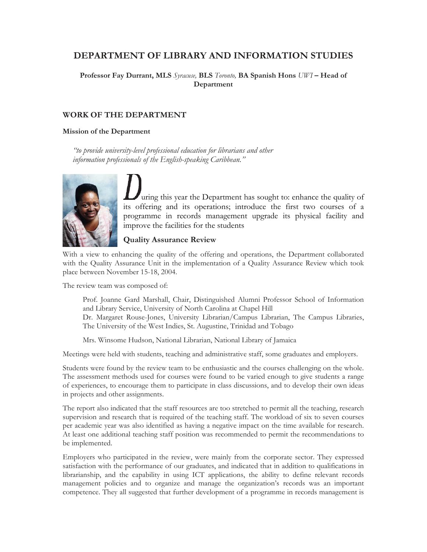# **DEPARTMENT OF LIBRARY AND INFORMATION STUDIES**

**Professor Fay Durrant, MLS** *Syracuse,* **BLS** *Toronto,* **BA Spanish Hons** *UWI* **– Head of Department** 

## **WORK OF THE DEPARTMENT**

#### **Mission of the Department**

*"to provide university-level professional education for librarians and other information professionals of the English-speaking Caribbean."* 



uring this year the Department has sought to: enhance the quality of its offering and its operations; introduce the first two courses of a programme in records management upgrade its physical facility and improve the facilities for the students

## **Quality Assurance Review**

With a view to enhancing the quality of the offering and operations, the Department collaborated with the Quality Assurance Unit in the implementation of a Quality Assurance Review which took place between November 15-18, 2004.

The review team was composed of:

Prof. Joanne Gard Marshall, Chair, Distinguished Alumni Professor School of Information and Library Service, University of North Carolina at Chapel Hill Dr. Margaret Rouse-Jones, University Librarian/Campus Librarian, The Campus Libraries, The University of the West Indies, St. Augustine, Trinidad and Tobago

Mrs. Winsome Hudson, National Librarian, National Library of Jamaica

Meetings were held with students, teaching and administrative staff, some graduates and employers.

Students were found by the review team to be enthusiastic and the courses challenging on the whole. The assessment methods used for courses were found to be varied enough to give students a range of experiences, to encourage them to participate in class discussions, and to develop their own ideas in projects and other assignments.

The report also indicated that the staff resources are too stretched to permit all the teaching, research supervision and research that is required of the teaching staff. The workload of six to seven courses per academic year was also identified as having a negative impact on the time available for research. At least one additional teaching staff position was recommended to permit the recommendations to be implemented.

Employers who participated in the review, were mainly from the corporate sector. They expressed satisfaction with the performance of our graduates, and indicated that in addition to qualifications in librarianship, and the capability in using ICT applications, the ability to define relevant records management policies and to organize and manage the organization's records was an important competence. They all suggested that further development of a programme in records management is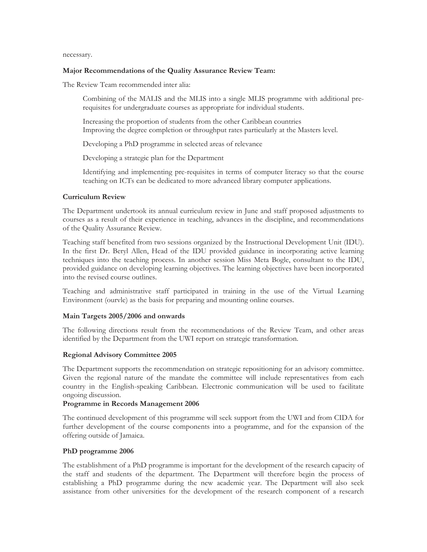necessary.

### **Major Recommendations of the Quality Assurance Review Team:**

The Review Team recommended inter alia:

Combining of the MALIS and the MLIS into a single MLIS programme with additional prerequisites for undergraduate courses as appropriate for individual students.

Increasing the proportion of students from the other Caribbean countries Improving the degree completion or throughput rates particularly at the Masters level.

Developing a PhD programme in selected areas of relevance

Developing a strategic plan for the Department

Identifying and implementing pre-requisites in terms of computer literacy so that the course teaching on ICTs can be dedicated to more advanced library computer applications.

### **Curriculum Review**

The Department undertook its annual curriculum review in June and staff proposed adjustments to courses as a result of their experience in teaching, advances in the discipline, and recommendations of the Quality Assurance Review.

Teaching staff benefited from two sessions organized by the Instructional Development Unit (IDU). In the first Dr. Beryl Allen, Head of the IDU provided guidance in incorporating active learning techniques into the teaching process. In another session Miss Meta Bogle, consultant to the IDU, provided guidance on developing learning objectives. The learning objectives have been incorporated into the revised course outlines.

Teaching and administrative staff participated in training in the use of the Virtual Learning Environment (ourvle) as the basis for preparing and mounting online courses.

## **Main Targets 2005/2006 and onwards**

The following directions result from the recommendations of the Review Team, and other areas identified by the Department from the UWI report on strategic transformation.

## **Regional Advisory Committee 2005**

The Department supports the recommendation on strategic repositioning for an advisory committee. Given the regional nature of the mandate the committee will include representatives from each country in the English-speaking Caribbean. Electronic communication will be used to facilitate ongoing discussion.

### **Programme in Records Management 2006**

The continued development of this programme will seek support from the UWI and from CIDA for further development of the course components into a programme, and for the expansion of the offering outside of Jamaica.

## **PhD programme 2006**

The establishment of a PhD programme is important for the development of the research capacity of the staff and students of the department. The Department will therefore begin the process of establishing a PhD programme during the new academic year. The Department will also seek assistance from other universities for the development of the research component of a research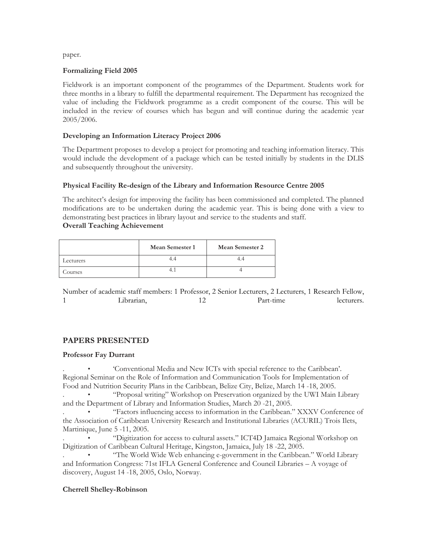paper.

### **Formalizing Field 2005**

Fieldwork is an important component of the programmes of the Department. Students work for three months in a library to fulfill the departmental requirement. The Department has recognized the value of including the Fieldwork programme as a credit component of the course. This will be included in the review of courses which has begun and will continue during the academic year 2005/2006.

## **Developing an Information Literacy Project 2006**

The Department proposes to develop a project for promoting and teaching information literacy. This would include the development of a package which can be tested initially by students in the DLIS and subsequently throughout the university.

### **Physical Facility Re-design of the Library and Information Resource Centre 2005**

The architect's design for improving the facility has been commissioned and completed. The planned modifications are to be undertaken during the academic year. This is being done with a view to demonstrating best practices in library layout and service to the students and staff. **Overall Teaching Achievement** 

|           | Mean Semester 1 | <b>Mean Semester 2</b> |
|-----------|-----------------|------------------------|
| Lecturers |                 |                        |
| Courses   |                 |                        |

Number of academic staff members: 1 Professor, 2 Senior Lecturers, 2 Lecturers, 1 Research Fellow, 1 Librarian, 12 Part-time lecturers.

## **PAPERS PRESENTED**

### **Professor Fay Durrant**

. • 'Conventional Media and New ICTs with special reference to the Caribbean'. Regional Seminar on the Role of Information and Communication Tools for Implementation of Food and Nutrition Security Plans in the Caribbean, Belize City, Belize, March 14 -18, 2005.

. • "Proposal writing" Workshop on Preservation organized by the UWI Main Library and the Department of Library and Information Studies, March 20 -21, 2005.

. • "Factors influencing access to information in the Caribbean." XXXV Conference of the Association of Caribbean University Research and Institutional Libraries (ACURIL) Trois Ilets, Martinique, June 5 -11, 2005.

. • "Digitization for access to cultural assets." ICT4D Jamaica Regional Workshop on Digitization of Caribbean Cultural Heritage, Kingston, Jamaica, July 18 -22, 2005.

. • "The World Wide Web enhancing e-government in the Caribbean." World Library and Information Congress: 71st IFLA General Conference and Council Libraries – A voyage of discovery, August 14 -18, 2005, Oslo, Norway.

## **Cherrell Shelley-Robinson**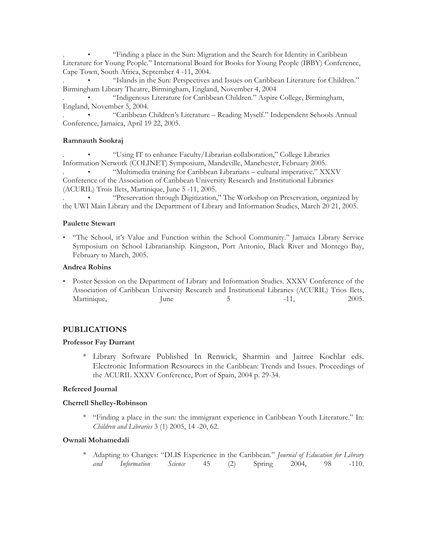. • "Finding a place in the Sun: Migration and the Search for Identity in Caribbean Literature for Young People." International Board for Books for Young People (IBBY) Conference, Cape Town, South Africa, September 4 -11, 2004.

. • "Islands in the Sun: Perspectives and Issues on Caribbean Literature for Children." Birmingham Library Theatre, Birmingham, England, November 4, 2004

. • "Indigenous Literature for Caribbean Children." Aspire College, Birmingham, England, November 5, 2004.

. • "Caribbean Children's Literature – Reading Myself." Independent Schools Annual Conference, Jamaica, April 19 22, 2005.

### **Ramnauth Sookraj**

. • "Using IT to enhance Faculty/Librarian collaboration," College Libraries Information Network (COLINET) Symposium, Mandeville, Manchester, February 2005.

. • "Multimedia training for Caribbean Librarians – cultural imperative." XXXV Conference of the Association of Caribbean University Research and Institutional Libraries (ACURIL) Trois Ilets, Martinique, June 5 -11, 2005.

. • "Preservation through Digitization," The Workshop on Preservation, organized by the UWI Main Library and the Department of Library and Information Studies, March 20 21, 2005.

### **Paulette Stewart**

• "The School, it's Value and Function within the School Community." Jamaica Library Service Symposium on School Librarianship. Kingston, Port Antonio, Black River and Montego Bay, February to March, 2005.

### **Andrea Robins**

• Poster Session on the Department of Library and Information Studies. XXXV Conference of the Association of Caribbean University Research and Institutional Libraries (ACURIL) Trios Ilets, Martinique, June 5 -11, 2005.

## **PUBLICATIONS**

### **Professor Fay Durrant**

\* Library Software Published In Renwick, Sharmin and Jaitree Kochlar eds. Electronic Information Resources in the Caribbean: Trends and Issues. Proceedings of the ACURIL XXXV Conference, Port of Spain, 2004 p. 29-34.

## **Refereed Journal**

### **Cherrell Shelley-Robinson**

\* "Finding a place in the sun: the immigrant experience in Caribbean Youth Literature." In: *Children and Libraries* 3 (1) 2005, 14 -20, 62.

### **Ownali Mohamedali**

\* Adapting to Changes: "DLIS Experience in the Caribbean." *Journal of Education for Library and Information Science* 45 (2) Spring 2004, 98 -110.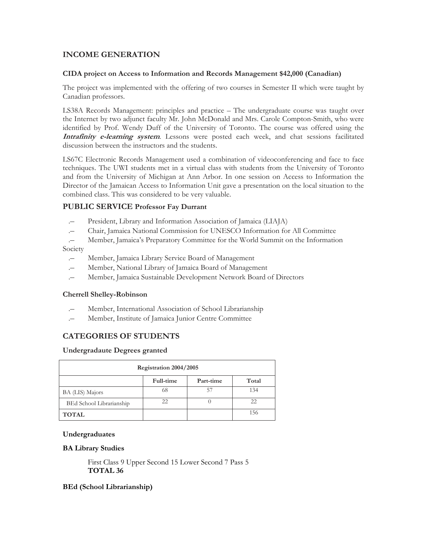## **INCOME GENERATION**

### **CIDA project on Access to Information and Records Management \$42,000 (Canadian)**

The project was implemented with the offering of two courses in Semester II which were taught by Canadian professors.

LS38A Records Management: principles and practice – The undergraduate course was taught over the Internet by two adjunct faculty Mr. John McDonald and Mrs. Carole Compton-Smith, who were identified by Prof. Wendy Duff of the University of Toronto. The course was offered using the **Intrafinity e-learning system**. Lessons were posted each week, and chat sessions facilitated discussion between the instructors and the students.

LS67C Electronic Records Management used a combination of videoconferencing and face to face techniques. The UWI students met in a virtual class with students from the University of Toronto and from the University of Michigan at Ann Arbor. In one session on Access to Information the Director of the Jamaican Access to Information Unit gave a presentation on the local situation to the combined class. This was considered to be very valuable.

## **PUBLIC SERVICE Professor Fay Durrant**

- .– President, Library and Information Association of Jamaica (LIAJA)
- .– Chair, Jamaica National Commission for UNESCO Information for All Committee
- .– Member, Jamaica's Preparatory Committee for the World Summit on the Information

Society

- .– Member, Jamaica Library Service Board of Management
- .– Member, National Library of Jamaica Board of Management
- .– Member, Jamaica Sustainable Development Network Board of Directors

### **Cherrell Shelley-Robinson**

- Member, International Association of School Librarianship
- .– Member, Institute of Jamaica Junior Centre Committee

## **CATEGORIES OF STUDENTS**

### **Undergradaute Degrees granted**

| Registration 2004/2005   |           |           |       |  |
|--------------------------|-----------|-----------|-------|--|
|                          | Full-time | Part-time | Total |  |
| BA (LIS) Majors          | 68        | 57        | 134   |  |
| BEd School Librarianship | 22        |           | 22    |  |
| <b>TOTAL</b>             |           |           | 156   |  |

### **Undergraduates**

### **BA Library Studies**

First Class 9 Upper Second 15 Lower Second 7 Pass 5 **TOTAL 36** 

## **BEd (School Librarianship)**